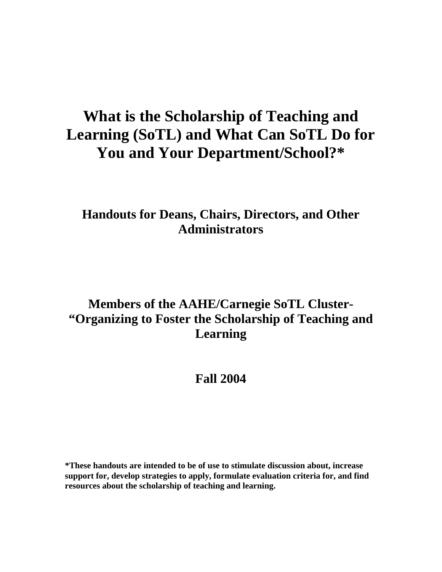# **What is the Scholarship of Teaching and Learning (SoTL) and What Can SoTL Do for You and Your Department/School?\***

### **Handouts for Deans, Chairs, Directors, and Other Administrators**

## **Members of the AAHE/Carnegie SoTL Cluster- "Organizing to Foster the Scholarship of Teaching and Learning**

### **Fall 2004**

**\*These handouts are intended to be of use to stimulate discussion about, increase support for, develop strategies to apply, formulate evaluation criteria for, and find resources about the scholarship of teaching and learning.**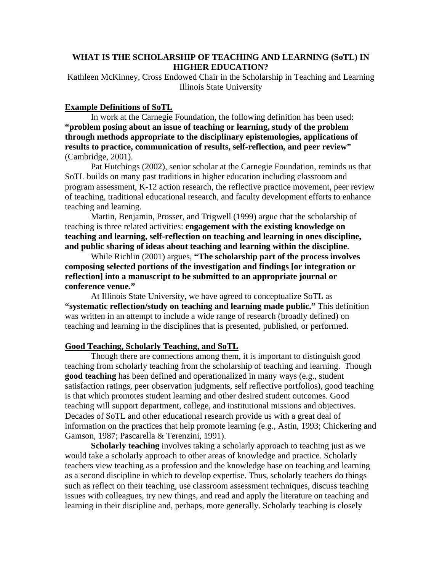#### **WHAT IS THE SCHOLARSHIP OF TEACHING AND LEARNING (SoTL) IN HIGHER EDUCATION?**

Kathleen McKinney, Cross Endowed Chair in the Scholarship in Teaching and Learning Illinois State University

#### **Example Definitions of SoTL**

In work at the Carnegie Foundation, the following definition has been used: **"problem posing about an issue of teaching or learning, study of the problem through methods appropriate to the disciplinary epistemologies, applications of results to practice, communication of results, self-reflection, and peer review"** (Cambridge, 2001).

Pat Hutchings (2002), senior scholar at the Carnegie Foundation, reminds us that SoTL builds on many past traditions in higher education including classroom and program assessment, K-12 action research, the reflective practice movement, peer review of teaching, traditional educational research, and faculty development efforts to enhance teaching and learning.

Martin, Benjamin, Prosser, and Trigwell (1999) argue that the scholarship of teaching is three related activities: **engagement with the existing knowledge on teaching and learning, self-reflection on teaching and learning in ones discipline, and public sharing of ideas about teaching and learning within the discipline**.

While Richlin (2001) argues, **"The scholarship part of the process involves composing selected portions of the investigation and findings [or integration or reflection] into a manuscript to be submitted to an appropriate journal or conference venue."**

At Illinois State University, we have agreed to conceptualize SoTL as **"systematic reflection/study on teaching and learning made public."** This definition was written in an attempt to include a wide range of research (broadly defined) on teaching and learning in the disciplines that is presented, published, or performed.

#### **Good Teaching, Scholarly Teaching, and SoTL**

Though there are connections among them, it is important to distinguish good teaching from scholarly teaching from the scholarship of teaching and learning. Though **good teaching** has been defined and operationalized in many ways (e.g., student satisfaction ratings, peer observation judgments, self reflective portfolios), good teaching is that which promotes student learning and other desired student outcomes. Good teaching will support department, college, and institutional missions and objectives. Decades of SoTL and other educational research provide us with a great deal of information on the practices that help promote learning (e.g., Astin, 1993; Chickering and Gamson, 1987; Pascarella & Terenzini, 1991).

**Scholarly teaching** involves taking a scholarly approach to teaching just as we would take a scholarly approach to other areas of knowledge and practice. Scholarly teachers view teaching as a profession and the knowledge base on teaching and learning as a second discipline in which to develop expertise. Thus, scholarly teachers do things such as reflect on their teaching, use classroom assessment techniques, discuss teaching issues with colleagues, try new things, and read and apply the literature on teaching and learning in their discipline and, perhaps, more generally. Scholarly teaching is closely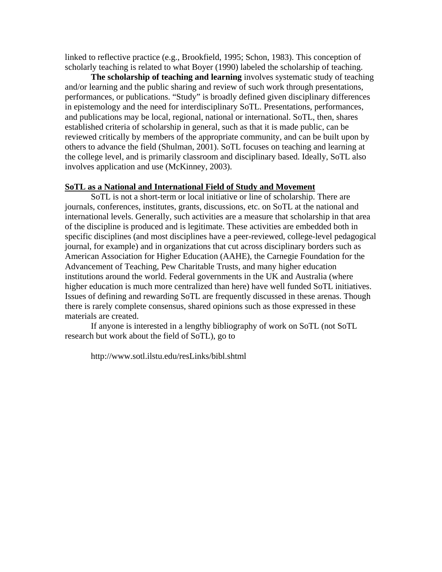linked to reflective practice (e.g., Brookfield, 1995; Schon, 1983). This conception of scholarly teaching is related to what Boyer (1990) labeled the scholarship of teaching.

**The scholarship of teaching and learning** involves systematic study of teaching and/or learning and the public sharing and review of such work through presentations, performances, or publications. "Study" is broadly defined given disciplinary differences in epistemology and the need for interdisciplinary SoTL. Presentations, performances, and publications may be local, regional, national or international. SoTL, then, shares established criteria of scholarship in general, such as that it is made public, can be reviewed critically by members of the appropriate community, and can be built upon by others to advance the field (Shulman, 2001). SoTL focuses on teaching and learning at the college level, and is primarily classroom and disciplinary based. Ideally, SoTL also involves application and use (McKinney, 2003).

#### **SoTL as a National and International Field of Study and Movement**

SoTL is not a short-term or local initiative or line of scholarship. There are journals, conferences, institutes, grants, discussions, etc. on SoTL at the national and international levels. Generally, such activities are a measure that scholarship in that area of the discipline is produced and is legitimate. These activities are embedded both in specific disciplines (and most disciplines have a peer-reviewed, college-level pedagogical journal, for example) and in organizations that cut across disciplinary borders such as American Association for Higher Education (AAHE), the Carnegie Foundation for the Advancement of Teaching, Pew Charitable Trusts, and many higher education institutions around the world. Federal governments in the UK and Australia (where higher education is much more centralized than here) have well funded SoTL initiatives. Issues of defining and rewarding SoTL are frequently discussed in these arenas. Though there is rarely complete consensus, shared opinions such as those expressed in these materials are created.

If anyone is interested in a lengthy bibliography of work on SoTL (not SoTL research but work about the field of SoTL), go to

http://www.sotl.ilstu.edu/resLinks/bibl.shtml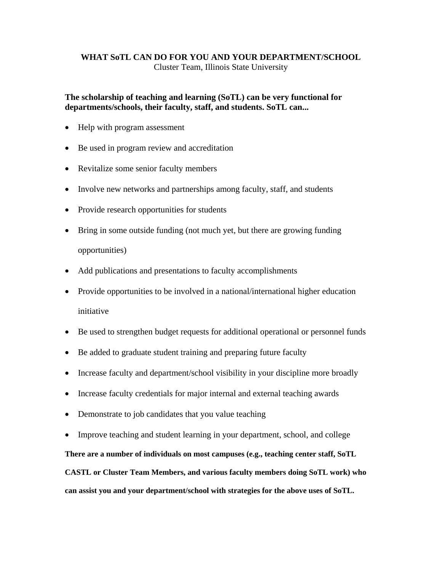#### **WHAT SoTL CAN DO FOR YOU AND YOUR DEPARTMENT/SCHOOL**  Cluster Team, Illinois State University

#### **The scholarship of teaching and learning (SoTL) can be very functional for departments/schools, their faculty, staff, and students. SoTL can...**

- Help with program assessment
- Be used in program review and accreditation
- Revitalize some senior faculty members
- Involve new networks and partnerships among faculty, staff, and students
- Provide research opportunities for students
- Bring in some outside funding (not much yet, but there are growing funding opportunities)
- Add publications and presentations to faculty accomplishments
- Provide opportunities to be involved in a national/international higher education initiative
- Be used to strengthen budget requests for additional operational or personnel funds
- Be added to graduate student training and preparing future faculty
- Increase faculty and department/school visibility in your discipline more broadly
- Increase faculty credentials for major internal and external teaching awards
- Demonstrate to job candidates that you value teaching
- Improve teaching and student learning in your department, school, and college

**There are a number of individuals on most campuses (e.g., teaching center staff, SoTL** 

**CASTL or Cluster Team Members, and various faculty members doing SoTL work) who can assist you and your department/school with strategies for the above uses of SoTL.**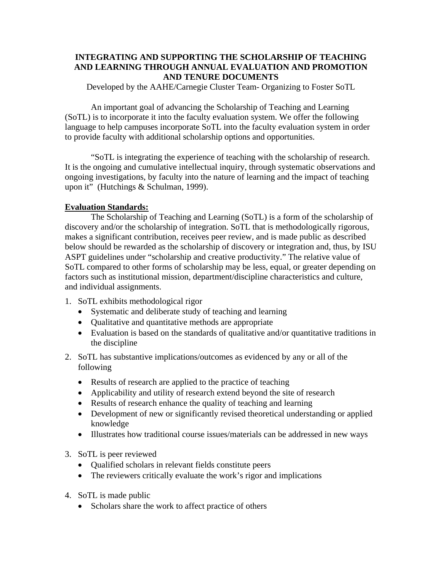#### **INTEGRATING AND SUPPORTING THE SCHOLARSHIP OF TEACHING AND LEARNING THROUGH ANNUAL EVALUATION AND PROMOTION AND TENURE DOCUMENTS**

Developed by the AAHE/Carnegie Cluster Team- Organizing to Foster SoTL

An important goal of advancing the Scholarship of Teaching and Learning (SoTL) is to incorporate it into the faculty evaluation system. We offer the following language to help campuses incorporate SoTL into the faculty evaluation system in order to provide faculty with additional scholarship options and opportunities.

"SoTL is integrating the experience of teaching with the scholarship of research. It is the ongoing and cumulative intellectual inquiry, through systematic observations and ongoing investigations, by faculty into the nature of learning and the impact of teaching upon it" (Hutchings & Schulman, 1999).

#### **Evaluation Standards:**

The Scholarship of Teaching and Learning (SoTL) is a form of the scholarship of discovery and/or the scholarship of integration. SoTL that is methodologically rigorous, makes a significant contribution, receives peer review, and is made public as described below should be rewarded as the scholarship of discovery or integration and, thus, by ISU ASPT guidelines under "scholarship and creative productivity." The relative value of SoTL compared to other forms of scholarship may be less, equal, or greater depending on factors such as institutional mission, department/discipline characteristics and culture, and individual assignments.

- 1. SoTL exhibits methodological rigor
	- Systematic and deliberate study of teaching and learning
	- Qualitative and quantitative methods are appropriate
	- Evaluation is based on the standards of qualitative and/or quantitative traditions in the discipline
- 2. SoTL has substantive implications/outcomes as evidenced by any or all of the following
	- Results of research are applied to the practice of teaching
	- Applicability and utility of research extend beyond the site of research
	- Results of research enhance the quality of teaching and learning
	- Development of new or significantly revised theoretical understanding or applied knowledge
	- Illustrates how traditional course issues/materials can be addressed in new ways
- 3. SoTL is peer reviewed
	- Qualified scholars in relevant fields constitute peers
	- The reviewers critically evaluate the work's rigor and implications
- 4. SoTL is made public
	- Scholars share the work to affect practice of others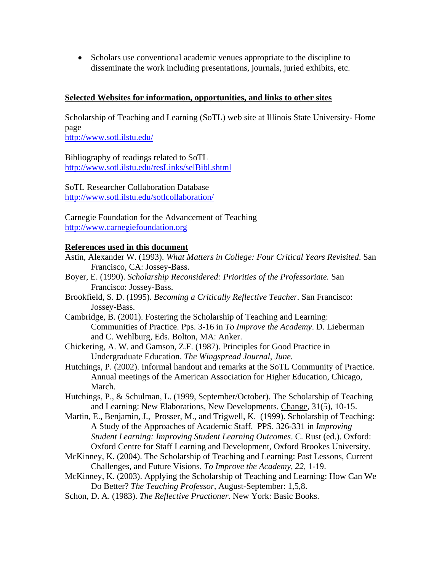• Scholars use conventional academic venues appropriate to the discipline to disseminate the work including presentations, journals, juried exhibits, etc.

#### **Selected Websites for information, opportunities, and links to other sites**

Scholarship of Teaching and Learning (SoTL) web site at Illinois State University- Home page

<http://www.sotl.ilstu.edu/>

Bibliography of readings related to SoTL <http://www.sotl.ilstu.edu/resLinks/selBibl.shtml>

SoTL Researcher Collaboration Database <http://www.sotl.ilstu.edu/sotlcollaboration/>

Carnegie Foundation for the Advancement of Teaching [http://www.carnegiefoundation.org](http://www.carnegiefoundation.org/)

#### **References used in this document**

- Astin, Alexander W. (1993). *What Matters in College: Four Critical Years Revisited*. San Francisco, CA: Jossey-Bass.
- Boyer, E. (1990). *Scholarship Reconsidered: Priorities of the Professoriate.* San Francisco: Jossey-Bass.
- Brookfield, S. D. (1995). *Becoming a Critically Reflective Teacher.* San Francisco: Jossey-Bass.
- Cambridge, B. (2001). Fostering the Scholarship of Teaching and Learning: Communities of Practice. Pps. 3-16 in *To Improve the Academy*. D. Lieberman and C. Wehlburg, Eds. Bolton, MA: Anker.
- Chickering, A. W. and Gamson, Z.F. (1987). Principles for Good Practice in Undergraduate Education. *The Wingspread Journal, June.*
- Hutchings, P. (2002). Informal handout and remarks at the SoTL Community of Practice. Annual meetings of the American Association for Higher Education, Chicago, March.
- Hutchings, P., & Schulman, L. (1999, September/October). The Scholarship of Teaching and Learning: New Elaborations, New Developments. Change, 31(5), 10-15.
- Martin, E., Benjamin, J., Prosser, M., and Trigwell, K. (1999). Scholarship of Teaching: A Study of the Approaches of Academic Staff. PPS. 326-331 in *Improving Student Learning: Improving Student Learning Outcomes*. C. Rust (ed.). Oxford: Oxford Centre for Staff Learning and Development, Oxford Brookes University.
- McKinney, K. (2004). The Scholarship of Teaching and Learning: Past Lessons, Current Challenges, and Future Visions. *To Improve the Academy, 22,* 1-19.
- McKinney, K. (2003). Applying the Scholarship of Teaching and Learning: How Can We Do Better? *The Teaching Professor,* August-September: 1,5,8.
- Schon, D. A. (1983). *The Reflective Practioner.* New York: Basic Books.